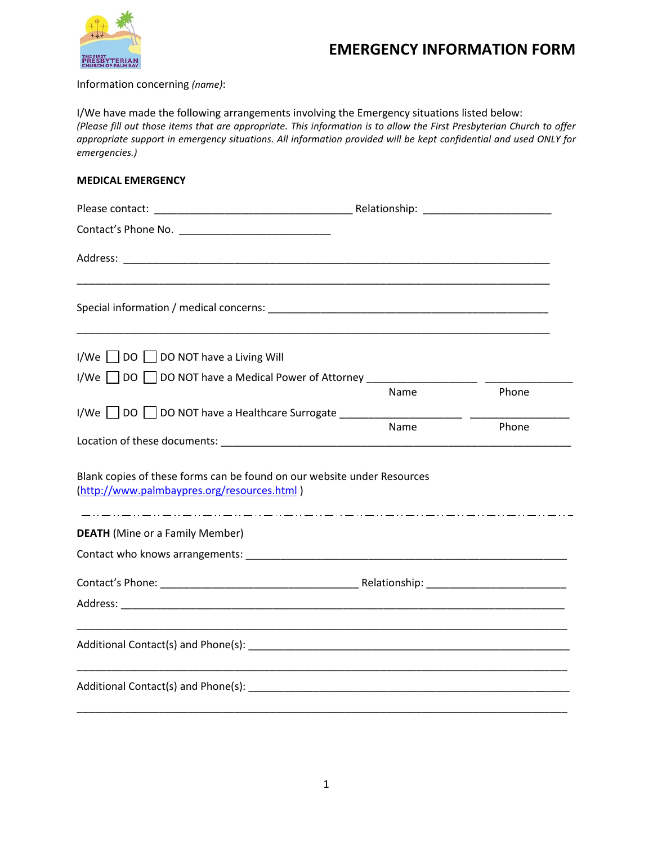

## **EMERGENCY INFORMATION FORM**

Information concerning *(name)*:

I/We have made the following arrangements involving the Emergency situations listed below: *(Please fill out those items that are appropriate. This information is to allow the First Presbyterian Church to offer appropriate support in emergency situations. All information provided will be kept confidential and used ONLY for emergencies.)*

## **MEDICAL EMERGENCY**

| $I/We$   $ DO$   $ DO$ NOT have a Living Will                                                                                                                                                                                  |      |       |
|--------------------------------------------------------------------------------------------------------------------------------------------------------------------------------------------------------------------------------|------|-------|
| I/We                                                                                                                                                                                                                           |      |       |
|                                                                                                                                                                                                                                | Name | Phone |
|                                                                                                                                                                                                                                |      |       |
| Location of these documents: Note that the control of the control of the control of the control of the control of the control of the control of the control of the control of the control of the control of the control of the | Name | Phone |
| Blank copies of these forms can be found on our website under Resources<br>(http://www.palmbaypres.org/resources.html)                                                                                                         |      |       |
| <b>DEATH</b> (Mine or a Family Member)                                                                                                                                                                                         |      |       |
|                                                                                                                                                                                                                                |      |       |
|                                                                                                                                                                                                                                |      |       |
|                                                                                                                                                                                                                                |      |       |
|                                                                                                                                                                                                                                |      |       |
|                                                                                                                                                                                                                                |      |       |